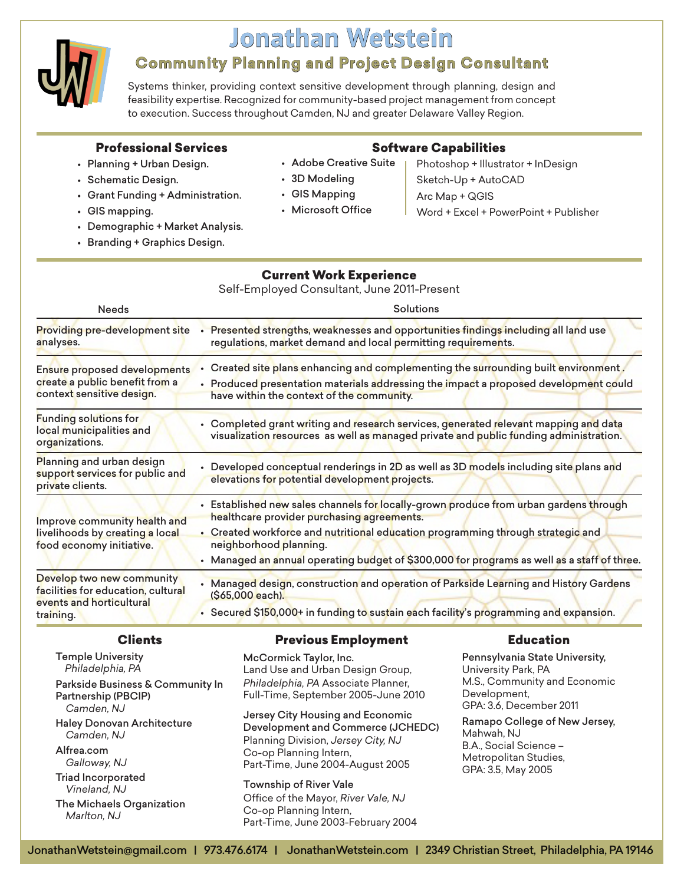

# **Jonathan Wetstein**

# **Community Planning and Project Design Consultant**

Systems thinker, providing context sensitive development through planning, design and feasibility expertise. Recognized for community-based project management from concept to execution. Success throughout Camden, NJ and greater Delaware Valley Region.

#### Professional Services

### • Planning + Urban Design.

• Schematic Design.

Software Capabilities

- 
- Adobe Creative Suite
- 3D Modeling • GIS Mapping
- Sketch-Up + AutoCAD Arc Map + QGIS
- GIS mapping.
- Demographic + Market Analysis.

• Grant Funding + Administration.

• Branding + Graphics Design.

# • Microsoft Office

## Current Work Experience

Self-Employed Consultant, June 2011-Present

| <b>Needs</b>                                                                                             | Solutions                                                                                                                                                                                                                                                                                                                                       |
|----------------------------------------------------------------------------------------------------------|-------------------------------------------------------------------------------------------------------------------------------------------------------------------------------------------------------------------------------------------------------------------------------------------------------------------------------------------------|
| <b>Providing pre-development site</b><br>analyses.                                                       | Presented strengths, weaknesses and opportunities findings including all land use<br>regulations, market demand and local permitting requirements.                                                                                                                                                                                              |
| Ensure proposed developments<br>create a public benefit from a<br>context sensitive design.              | . Created site plans enhancing and complementing the surrounding built environment,<br>• Produced presentation materials addressing the impact a proposed development could<br>have within the context of the community.                                                                                                                        |
| <b>Funding solutions for</b><br>local municipalities and<br>organizations.                               | • Completed grant writing and research services, generated relevant mapping and data<br>visualization resources as well as managed private and public funding administration.                                                                                                                                                                   |
| Planning and urban design<br>support services for public and<br>private clients.                         | • Developed conceptual renderings in 2D as well as 3D models including site plans and<br>elevations for potential development projects.                                                                                                                                                                                                         |
| Improve community health and<br>livelihoods by creating a local<br>food economy initiative.              | • Established new sales channels for locally-grown produce from urban gardens through<br>healthcare provider purchasing agreements.<br>• Created workforce and nutritional education programming through strategic and<br>neighborhood planning.<br>• Managed an annual operating budget of \$300,000 for programs as well as a staff of three. |
| Develop two new community<br>facilities for education, cultural<br>events and horticultural<br>training. | • Managed design, construction and operation of Parkside Learning and History Gardens<br>(\$65,000 each).<br>• Secured \$150,000+ in funding to sustain each facility's programming and expansion.                                                                                                                                              |

### Clients

Previous Employment

### Education

Temple University *Philadelphia, PA* Parkside Business & Community In Partnership (PBCIP) *Camden, NJ* Haley Donovan Architecture *Camden, NJ* Alfrea.com *Galloway, NJ* Triad Incorporated *Vineland, NJ*

The Michaels Organization *Marlton, NJ*

McCormick Taylor, Inc. Land Use and Urban Design Group, *Philadelphia, PA* Associate Planner, Full-Time, September 2005-June 2010

Jersey City Housing and Economic Development and Commerce (JCHEDC) Planning Division, *Jersey City, NJ* Co-op Planning Intern, Part-Time, June 2004-August 2005

Township of River Vale Office of the Mayor, *River Vale, NJ* Co-op Planning Intern, Part-Time, June 2003-February 2004

Pennsylvania State University, University Park, PA M.S., Community and Economic Development, GPA: 3.6, December 2011

Ramapo College of New Jersey, Mahwah, NJ B.A., Social Science – Metropolitan Studies, GPA: 3.5, May 2005

Photoshop + Illustrator + InDesign Word + Excel + PowerPoint + Publisher